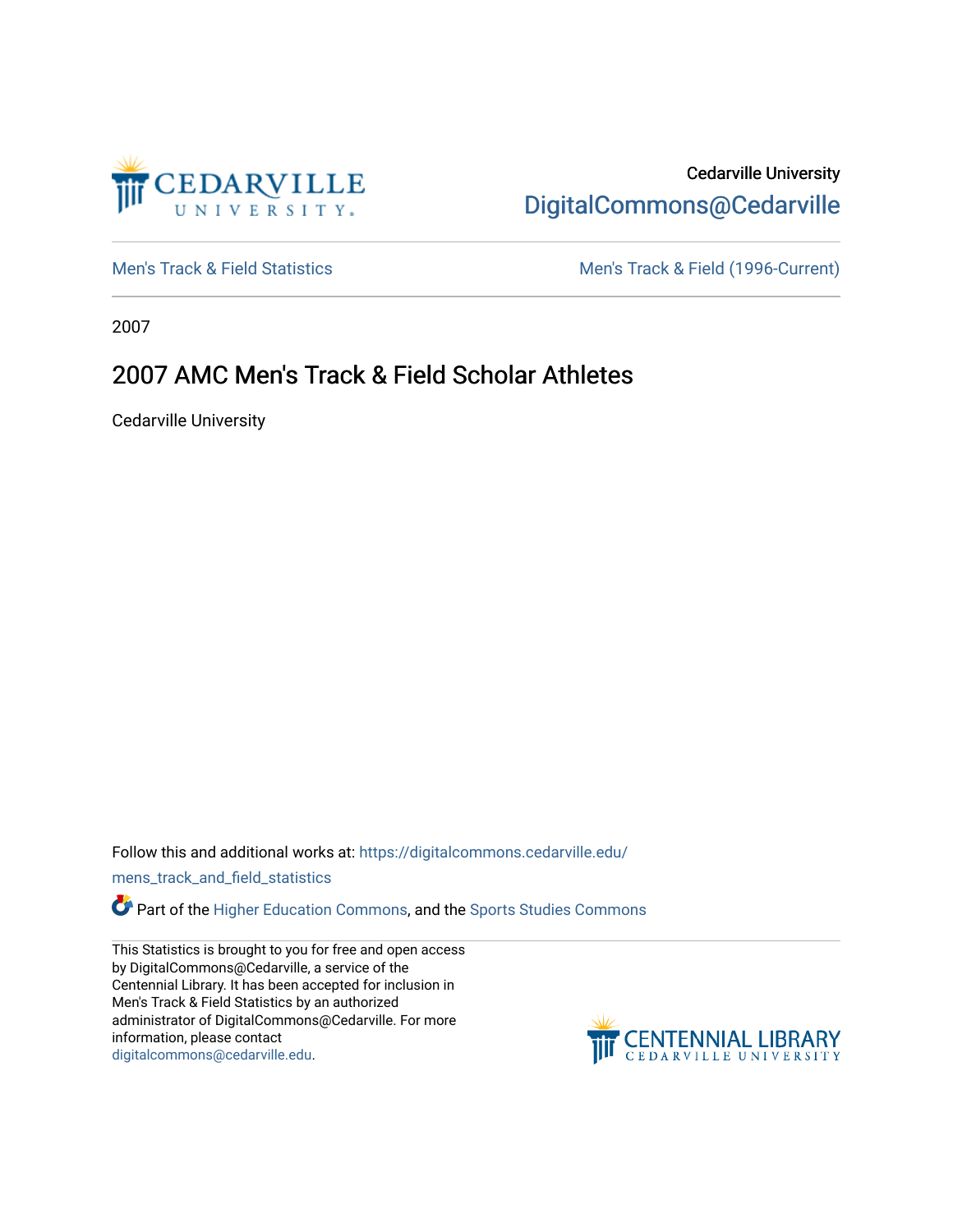

## Cedarville University [DigitalCommons@Cedarville](https://digitalcommons.cedarville.edu/)

[Men's Track & Field Statistics](https://digitalcommons.cedarville.edu/mens_track_and_field_statistics) [Men's Track & Field \(1996-Current\)](https://digitalcommons.cedarville.edu/mens_track_and_field) 

2007

## 2007 AMC Men's Track & Field Scholar Athletes

Cedarville University

Follow this and additional works at: [https://digitalcommons.cedarville.edu/](https://digitalcommons.cedarville.edu/mens_track_and_field_statistics?utm_source=digitalcommons.cedarville.edu%2Fmens_track_and_field_statistics%2F182&utm_medium=PDF&utm_campaign=PDFCoverPages)

[mens\\_track\\_and\\_field\\_statistics](https://digitalcommons.cedarville.edu/mens_track_and_field_statistics?utm_source=digitalcommons.cedarville.edu%2Fmens_track_and_field_statistics%2F182&utm_medium=PDF&utm_campaign=PDFCoverPages)

**Part of the [Higher Education Commons,](http://network.bepress.com/hgg/discipline/1245?utm_source=digitalcommons.cedarville.edu%2Fmens_track_and_field_statistics%2F182&utm_medium=PDF&utm_campaign=PDFCoverPages) and the Sports Studies Commons** 

This Statistics is brought to you for free and open access by DigitalCommons@Cedarville, a service of the Centennial Library. It has been accepted for inclusion in Men's Track & Field Statistics by an authorized administrator of DigitalCommons@Cedarville. For more information, please contact [digitalcommons@cedarville.edu](mailto:digitalcommons@cedarville.edu).